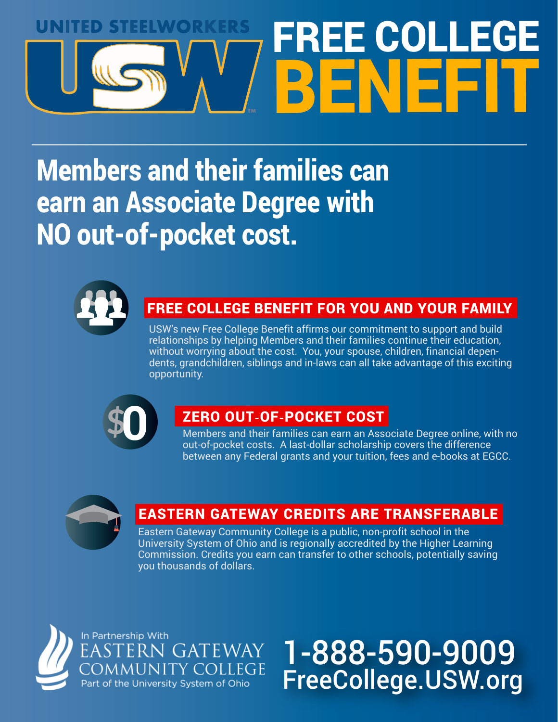# UNIMO STEEWORKE FREE COLLE BENEFIT

# Members and their families can earn an Associate Degree with NO out-of-pocket cost.



### FREE COLLEGE BENEFIT FOR YOU AND YOUR FAMILY

USW's new Free College Benefit affirms our commitment to support and build relationships by helping Members and their families continue their education, without worrying about the cost. You, your spouse, children, financial dependents, grandchildren, siblings and in-laws can all take advantage of this exciting opportunity.



### ZERO OUT**-**OF**-**POCKET COST

Members and their families can earn an Associate Degree online, with no out-of-pocket costs. A last-dollar scholarship covers the difference between any Federal grants and your tuition, fees and e-books at EGCC.



### EASTERN GATEWAY CREDITS ARE TRANSFERABLE

Eastern Gateway Community College is a public, non-profit school in the University System of Ohio and is regionally accredited by the Higher Learning Commission. Credits you earn can transfer to other schools, potentially saving you thousands of dollars.



# 1-888-590-9009 FreeCollege.USW.org